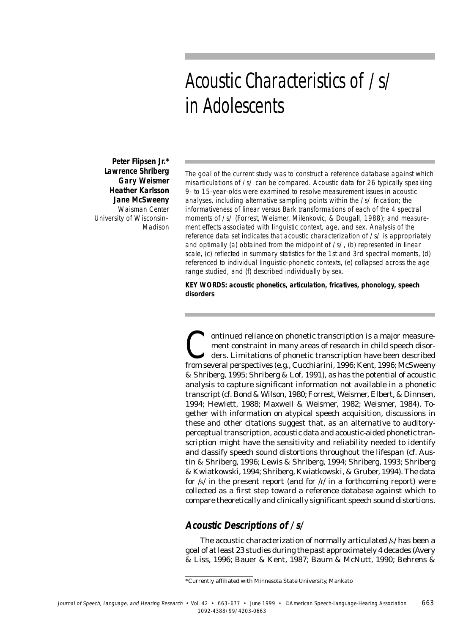# Acoustic Characteristics of /s/ in Adolescents

**Peter Flipsen Jr.\* Lawrence Shriberg Gary Weismer Heather Karlsson Jane McSweeny** Waisman Center University of Wisconsin– Madison

The goal of the current study was to construct a reference database against which misarticulations of /s/ can be compared. Acoustic data for 26 typically speaking 9- to 15-year-olds were examined to resolve measurement issues in acoustic analyses, including alternative sampling points within the /s/ frication; the informativeness of linear versus Bark transformations of each of the 4 spectral moments of /s/ (Forrest, Weismer, Milenkovic, & Dougall, 1988); and measurement effects associated with linguistic context, age, and sex. Analysis of the reference data set indicates that acoustic characterization of /s/ is appropriately and optimally (a) obtained from the midpoint of /s/, (b) represented in linear scale, (c) reflected in summary statistics for the 1st and 3rd spectral moments, (d) referenced to individual linguistic-phonetic contexts, (e) collapsed across the age range studied, and (f) described individually by sex.

**KEY WORDS: acoustic phonetics, articulation, fricatives, phonology, speech disorders**

Outlinued reliance on phonetic transcription is a major measure-<br>ment constraint in many areas of research in child speech disor-<br>ders. Limitations of phonetic transcription have been described<br>from several perspectives (e ment constraint in many areas of research in child speech disorders. Limitations of phonetic transcription have been described from several perspectives (e.g., Cucchiarini, 1996; Kent, 1996; McSweeny & Shriberg, 1995; Shriberg & Lof, 1991), as has the potential of acoustic analysis to capture significant information not available in a phonetic transcript (cf. Bond & Wilson, 1980; Forrest, Weismer, Elbert, & Dinnsen, 1994; Hewlett, 1988; Maxwell & Weismer, 1982; Weismer, 1984). Together with information on atypical speech acquisition, discussions in these and other citations suggest that, as an alternative to auditoryperceptual transcription, acoustic data and acoustic-aided phonetic transcription might have the sensitivity and reliability needed to identify and classify speech sound distortions throughout the lifespan (cf. Austin & Shriberg, 1996; Lewis & Shriberg, 1994; Shriberg, 1993; Shriberg & Kwiatkowski, 1994; Shriberg, Kwiatkowski, & Gruber, 1994). The data for  $/s/$  in the present report (and for  $/r/$  in a forthcoming report) were collected as a first step toward a reference database against which to compare theoretically and clinically significant speech sound distortions.

#### **Acoustic Descriptions of /s/**

The acoustic characterization of normally articulated /s/ has been a goal of at least 23 studies during the past approximately 4 decades (Avery & Liss, 1996; Bauer & Kent, 1987; Baum & McNutt, 1990; Behrens &

<sup>\*</sup>Currently affiliated with Minnesota State University, Mankato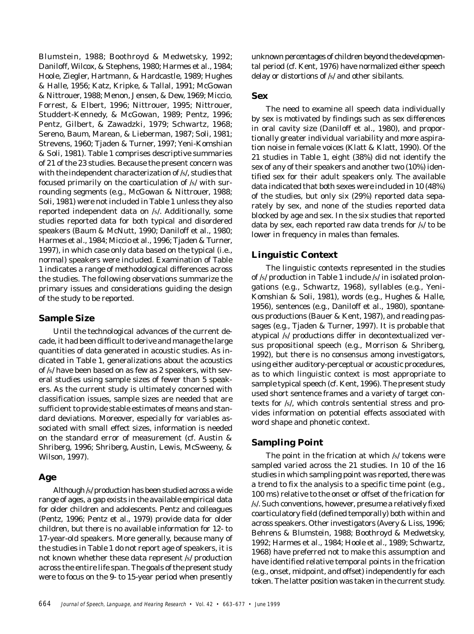Blumstein, 1988; Boothroyd & Medwetsky, 1992; Daniloff, Wilcox, & Stephens, 1980; Harmes et al., 1984; Hoole, Ziegler, Hartmann, & Hardcastle, 1989; Hughes & Halle, 1956; Katz, Kripke, & Tallal, 1991; McGowan & Nittrouer, 1988; Menon, Jensen, & Dew, 1969; Miccio, Forrest, & Elbert, 1996; Nittrouer, 1995; Nittrouer, Studdert-Kennedy, & McGowan, 1989; Pentz, 1996; Pentz, Gilbert, & Zawadzki, 1979; Schwartz, 1968; Sereno, Baum, Marean, & Lieberman, 1987; Soli, 1981; Strevens, 1960; Tjaden & Turner, 1997; Yeni-Komshian & Soli, 1981). Table 1 comprises descriptive summaries of 21 of the 23 studies. Because the present concern was with the independent characterization of /s/, studies that focused primarily on the coarticulation of /s/ with surrounding segments (e.g., McGowan & Nittrouer, 1988; Soli, 1981) were not included in Table 1 unless they also reported independent data on /s/. Additionally, some studies reported data for both typical and disordered speakers (Baum & McNutt, 1990; Daniloff et al., 1980; Harmes et al., 1984; Miccio et al., 1996; Tjaden & Turner, 1997), in which case only data based on the typical (i.e., normal) speakers were included. Examination of Table 1 indicates a range of methodological differences across the studies. The following observations summarize the primary issues and considerations guiding the design of the study to be reported.

#### **Sample Size**

Until the technological advances of the current decade, it had been difficult to derive and manage the large quantities of data generated in acoustic studies. As indicated in Table 1, generalizations about the acoustics of /s/ have been based on as few as 2 speakers, with several studies using sample sizes of fewer than 5 speakers. As the current study is ultimately concerned with classification issues, sample sizes are needed that are sufficient to provide stable estimates of means and standard deviations. Moreover, especially for variables associated with small effect sizes, information is needed on the standard error of measurement (cf. Austin & Shriberg, 1996; Shriberg, Austin, Lewis, McSweeny, & Wilson, 1997).

#### **Age**

Although /s/ production has been studied across a wide range of ages, a gap exists in the available empirical data for older children and adolescents. Pentz and colleagues (Pentz, 1996; Pentz et al., 1979) provide data for older children, but there is no available information for 12- to 17-year-old speakers. More generally, because many of the studies in Table 1 do not report age of speakers, it is not known whether these data represent /s/ production across the entire life span. The goals of the present study were to focus on the 9- to 15-year period when presently

unknown percentages of children beyond the developmental period (cf. Kent, 1976) have normalized either speech delay or distortions of /s/ and other sibilants.

#### **Sex**

The need to examine all speech data individually by sex is motivated by findings such as sex differences in oral cavity size (Daniloff et al., 1980), and proportionally greater individual variability and more aspiration noise in female voices (Klatt & Klatt, 1990). Of the 21 studies in Table 1, eight (38%) did not identify the sex of any of their speakers and another two (10%) identified sex for their adult speakers only. The available data indicated that both sexes were included in 10 (48%) of the studies, but only six (29%) reported data separately by sex, and none of the studies reported data blocked by age and sex. In the six studies that reported data by sex, each reported raw data trends for /s/ to be lower in frequency in males than females.

## **Linguistic Context**

The linguistic contexts represented in the studies of /s/ production in Table 1 include /s/ in isolated prolongations (e.g., Schwartz, 1968), syllables (e.g., Yeni-Komshian & Soli, 1981), words (e.g., Hughes & Halle, 1956), sentences (e.g., Daniloff et al., 1980), spontaneous productions (Bauer & Kent, 1987), and reading passages (e.g., Tjaden & Turner, 1997). It is probable that atypical /s/ productions differ in decontextualized versus propositional speech (e.g., Morrison & Shriberg, 1992), but there is no consensus among investigators, using either auditory-perceptual or acoustic procedures, as to which linguistic context is most appropriate to sample typical speech (cf. Kent, 1996). The present study used short sentence frames and a variety of target contexts for /s/, which controls sentential stress and provides information on potential effects associated with word shape and phonetic context.

## **Sampling Point**

The point in the frication at which /s/ tokens were sampled varied across the 21 studies. In 10 of the 16 studies in which sampling point was reported, there was a trend to fix the analysis to a specific time point (e.g., 100 ms) relative to the onset or offset of the frication for /s/. Such conventions, however, presume a relatively fixed coarticulatory field (defined temporally) both within and across speakers. Other investigators (Avery & Liss, 1996; Behrens & Blumstein, 1988; Boothroyd & Medwetsky, 1992; Harmes et al., 1984; Hoole et al., 1989; Schwartz, 1968) have preferred not to make this assumption and have identified relative temporal points in the frication (e.g., onset, midpoint, and offset) independently for each token. The latter position was taken in the current study.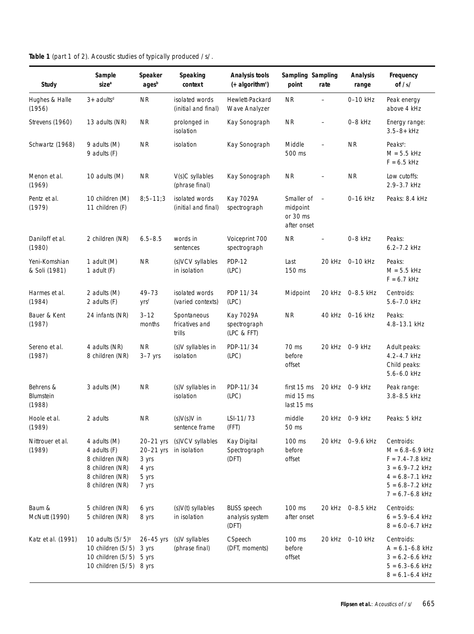|  |  | Table 1 (part 1 of 2). Acoustic studies of typically produced /s/. |  |
|--|--|--------------------------------------------------------------------|--|
|--|--|--------------------------------------------------------------------|--|

| Study                            | Sample<br>size <sup>a</sup>                                                                              | Speaker<br>agesb                                             | Speaking<br>context                     | Analysis tools<br>(+ algorithm <sup>c</sup> )   | Sampling Sampling<br>point                        | rate                     | <b>Analysis</b><br>range | Frequency<br>of $/s/$                                                                                                                                |
|----------------------------------|----------------------------------------------------------------------------------------------------------|--------------------------------------------------------------|-----------------------------------------|-------------------------------------------------|---------------------------------------------------|--------------------------|--------------------------|------------------------------------------------------------------------------------------------------------------------------------------------------|
| Hughes & Halle<br>(1956)         | $3+$ adults <sup>d</sup>                                                                                 | <b>NR</b>                                                    | isolated words<br>(initial and final)   | Hewlett-Packard<br>Wave Analyzer                | <b>NR</b>                                         | $\overline{\phantom{a}}$ | 0-10 kHz                 | Peak energy<br>above 4 kHz                                                                                                                           |
| Strevens (1960)                  | 13 adults (NR)                                                                                           | <b>NR</b>                                                    | prolonged in<br>isolation               | Kay Sonograph                                   | <b>NR</b>                                         |                          | $0-8$ kHz                | Energy range:<br>$3.5 - 8 + kHz$                                                                                                                     |
| Schwartz (1968)                  | 9 adults (M)<br>9 adults (F)                                                                             | <b>NR</b>                                                    | isolation                               | Kay Sonograph                                   | Middle<br>500 ms                                  |                          | <b>NR</b>                | Peaks <sup>e</sup> :<br>$M = 5.5$ kHz<br>$F = 6.5$ kHz                                                                                               |
| Menon et al.<br>(1969)           | 10 adults (M)                                                                                            | NR                                                           | V(s)C syllables<br>(phrase final)       | Kay Sonograph                                   | <b>NR</b>                                         |                          | <b>NR</b>                | Low cutoffs:<br>2.9-3.7 kHz                                                                                                                          |
| Pentz et al.<br>(1979)           | 10 children (M)<br>11 children (F)                                                                       | $8;5 - 11;3$                                                 | isolated words<br>(initial and final)   | Kay 7029A<br>spectrograph                       | Smaller of<br>midpoint<br>or 30 ms<br>after onset | $\overline{\phantom{a}}$ | 0-16 kHz                 | Peaks: 8.4 kHz                                                                                                                                       |
| Daniloff et al.<br>(1980)        | 2 children (NR)                                                                                          | $6.5 - 8.5$                                                  | words in<br>sentences                   | Voiceprint 700<br>spectrograph                  | <b>NR</b>                                         |                          | 0-8 kHz                  | Peaks:<br>$6.2 - 7.2$ kHz                                                                                                                            |
| Yeni-Komshian<br>& Soli (1981)   | 1 adult (M)<br>1 adult $(F)$                                                                             | NR                                                           | (s)VCV syllables<br>in isolation        | <b>PDP-12</b><br>(LPC)                          | Last<br>150 ms                                    | 20 kHz                   | 0-10 kHz                 | Peaks:<br>$M = 5.5$ kHz<br>$F = 6.7$ kHz                                                                                                             |
| Harmes et al.<br>(1984)          | 2 adults (M)<br>2 adults (F)                                                                             | 49-73<br>yrsf                                                | isolated words<br>(varied contexts)     | PDP 11/34<br>(LPC)                              | Midpoint                                          |                          | 20 kHz 0-8.5 kHz         | Centroids:<br>5.6-7.0 kHz                                                                                                                            |
| Bauer & Kent<br>(1987)           | 24 infants (NR)                                                                                          | $3 - 12$<br>months                                           | Spontaneous<br>fricatives and<br>trills | Kay 7029A<br>spectrograph<br>(LPC & FFT)        | <b>NR</b>                                         | 40 kHz                   | 0-16 kHz                 | Peaks:<br>4.8-13.1 kHz                                                                                                                               |
| Sereno et al.<br>(1987)          | 4 adults (NR)<br>8 children (NR)                                                                         | <b>NR</b><br>$3-7$ yrs                                       | (s)V syllables in<br>isolation          | PDP-11/34<br>(LPC)                              | 70 ms<br>before<br>offset                         |                          | 20 kHz 0-9 kHz           | Adult peaks:<br>4.2-4.7 kHz<br>Child peaks:<br>5.6-6.0 kHz                                                                                           |
| Behrens &<br>Blumstein<br>(1988) | 3 adults (M)                                                                                             | ΝR                                                           | (s)V syllables in<br>isolation          | PDP-11/34<br>(LPC)                              | first 15 ms<br>mid 15 ms<br>last 15 ms            |                          | 20 kHz 0-9 kHz           | Peak range:<br>3.8-8.5 kHz                                                                                                                           |
| Hoole et al.<br>(1989)           | 2 adults                                                                                                 | <b>NR</b>                                                    | $(s)V(s)V$ in<br>sentence frame         | LSI-11/73<br>(FFT)                              | middle<br>50 ms                                   |                          | 20 kHz 0-9 kHz           | Peaks: 5 kHz                                                                                                                                         |
| Nittrouer et al.<br>(1989)       | 4 adults (M)<br>4 adults (F)<br>8 children (NR)<br>8 children (NR)<br>8 children (NR)<br>8 children (NR) | $20-21$ yrs<br>20-21 yrs<br>3 yrs<br>4 yrs<br>5 yrs<br>7 yrs | (s)VCV syllables<br>in isolation        | Kay Digital<br>Spectrograph<br>(DFT)            | 100 ms<br>before<br>offset                        |                          | 20 kHz 0-9.6 kHz         | Centroids:<br>$M = 6.8 - 6.9$ kHz<br>$F = 7.4 - 7.8$ kHz<br>$3 = 6.9 - 7.2$ kHz<br>$4 = 6.8 - 7.1$ kHz<br>$5 = 6.8 - 7.2$ kHz<br>$7 = 6.7 - 6.8$ kHz |
| Baum &<br>McNutt (1990)          | 5 children (NR)<br>5 children (NR)                                                                       | 6 yrs<br>8 yrs                                               | (s)V(t) syllables<br>in isolation       | <b>BLISS</b> speech<br>analysis system<br>(DFT) | 100 ms<br>after onset                             |                          | 20 kHz 0-8.5 kHz         | Centroids:<br>$6 = 5.9 - 6.4$ kHz<br>$8 = 6.0 - 6.7$ kHz                                                                                             |
| Katz et al. (1991)               | 10 adults $(5/5)$ <sup>g</sup><br>10 children (5/5)<br>10 children (5/5)<br>10 children (5/5) 8 yrs      | $26 - 45$ yrs<br>3 yrs<br>5 yrs                              | (s)V syllables<br>(phrase final)        | CSpeech<br>(DFT, moments)                       | 100 ms<br>before<br>offset                        |                          | 20 kHz 0-10 kHz          | Centroids:<br>$A = 6.1 - 6.8$ kHz<br>$3 = 6.2 - 6.6$ kHz<br>$5 = 6.3 - 6.6$ kHz<br>$8 = 6.1 - 6.4$ kHz                                               |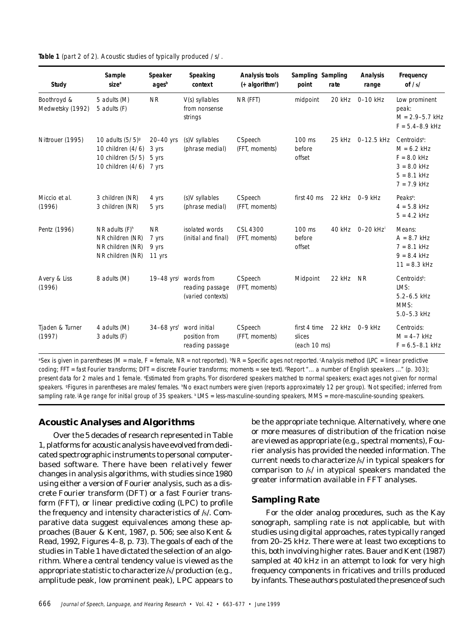**Table 1** (part 2 of 2). Acoustic studies of typically produced /s/.

| Study                           | Sample<br>size <sup>a</sup>                                                                   | Speaker<br>agesb                      | Speaking<br>context                                | <b>Analysis tools</b><br>$(+$ algorithm <sup>c</sup> ) | Sampling Sampling<br>point             | rate   | <b>Analysis</b><br>range | Frequency<br>of $/s/$                                                                                         |
|---------------------------------|-----------------------------------------------------------------------------------------------|---------------------------------------|----------------------------------------------------|--------------------------------------------------------|----------------------------------------|--------|--------------------------|---------------------------------------------------------------------------------------------------------------|
| Boothroyd &<br>Medwetsky (1992) | 5 adults (M)<br>5 adults (F)                                                                  | <b>NR</b>                             | V(s) syllables<br>from nonsense<br>strings         | NR (FFT)                                               | midpoint                               | 20 kHz | 0-10 kHz                 | Low prominent<br>peak:<br>$M = 2.9 - 5.7$ kHz<br>$F = 5.4 - 8.9$ kHz                                          |
| Nittrouer (1995)                | 10 adults $(5/5)$ <sup>g</sup><br>10 children (4/6)<br>10 children (5/5)<br>10 children (4/6) | 20-40 yrs<br>3 yrs<br>5 yrs<br>7 yrs  | (s)V syllables<br>(phrase medial)                  | CSpeech<br>(FFT, moments)                              | 100 ms<br>before<br>offset             |        | 25 kHz 0-12.5 kHz        | Centroids <sup>e</sup> :<br>$M = 6.2$ kHz<br>$F = 8.0$ kHz<br>$3 = 8.0$ kHz<br>$5 = 8.1$ kHz<br>$7 = 7.9$ kHz |
| Miccio et al.<br>(1996)         | 3 children (NR)<br>3 children (NR)                                                            | 4 yrs<br>5 yrs                        | (s)V syllables<br>(phrase medial)                  | CSpeech<br>(FFT, moments)                              | first 40 ms                            |        | 22 kHz 0-9 kHz           | Peaks <sup>e</sup> :<br>$4 = 5.8$ kHz<br>$5 = 4.2$ kHz                                                        |
| Pentz (1996)                    | NR adults $(F)^h$<br>NR children (NR)<br>NR children (NR)<br>NR children (NR)                 | <b>NR</b><br>7 yrs<br>9 yrs<br>11 yrs | isolated words<br>(initial and final)              | CSL 4300<br>(FFT, moments)                             | 100 ms<br>before<br>offset             | 40 kHz | 0-20 kHz <sup>i</sup>    | Means:<br>$A = 8.7$ kHz<br>$7 = 8.1$ kHz<br>$9 = 8.4$ kHz<br>$11 = 8.3$ kHz                                   |
| Avery & Liss<br>(1996)          | 8 adults (M)                                                                                  | $19-48$ yrs <sup>j</sup>              | words from<br>reading passage<br>(varied contexts) | CSpeech<br>(FFT, moments)                              | Midpoint                               | 22 kHz | <b>NR</b>                | Centroids $k$ :<br>LMS:<br>5.2-6.5 kHz<br>MMS:<br>5.0-5.3 kHz                                                 |
| Tjaden & Turner<br>(1997)       | 4 adults (M)<br>3 adults (F)                                                                  | $34-68$ yrs <sup>f</sup>              | word initial<br>position from<br>reading passage   | CSpeech<br>(FFT, moments)                              | first 4 time<br>slices<br>(each 10 ms) | 22 kHz | $0-9$ kHz                | Centroids:<br>$M = 4-7$ kHz<br>$F = 6.5 - 8.1$ kHz                                                            |

ªSex is given in parentheses (M = male, F = female, NR = not reported). <sup>b</sup>NR = Specific ages not reported. <sup>c</sup>Analysis method (LPC = linear predictive coding; FFT = fast Fourier transforms; DFT = discrete Fourier transforms; moments = see text). Report "... a number of English speakers ..." (p. 303); present data for 2 males and 1 female. <sup>e</sup>Estimated from graphs. For disordered speakers matched to normal speakers; exact ages not given for normal speakers. <sup>g</sup>Figures in parentheses are males/females. <sup>h</sup>No exact numbers were given (reports approximately 12 per group). <sup>i</sup>Not specified; inferred from sampling rate. Age range for initial group of 35 speakers.  $k$ LMS = less-masculine-sounding speakers, MMS = more-masculine-sounding speakers.

#### **Acoustic Analyses and Algorithms**

Over the 5 decades of research represented in Table 1, platforms for acoustic analysis have evolved from dedicated spectrographic instruments to personal computerbased software. There have been relatively fewer changes in analysis algorithms, with studies since 1980 using either a version of Fourier analysis, such as a discrete Fourier transform (DFT) or a fast Fourier transform (FFT), or linear predictive coding (LPC) to profile the frequency and intensity characteristics of /s/. Comparative data suggest equivalences among these approaches (Bauer & Kent, 1987, p. 506; see also Kent & Read, 1992, Figures 4–8, p. 73). The goals of each of the studies in Table 1 have dictated the selection of an algorithm. Where a central tendency value is viewed as the appropriate statistic to characterize /s/ production (e.g., amplitude peak, low prominent peak), LPC appears to be the appropriate technique. Alternatively, where one or more measures of distribution of the frication noise are viewed as appropriate (e.g., spectral moments), Fourier analysis has provided the needed information. The current needs to characterize /s/ in typical speakers for comparison to /s/ in atypical speakers mandated the greater information available in FFT analyses.

#### **Sampling Rate**

For the older analog procedures, such as the Kay sonograph, sampling rate is not applicable, but with studies using digital approaches, rates typically ranged from 20–25 kHz. There were at least two exceptions to this, both involving higher rates. Bauer and Kent (1987) sampled at 40 kHz in an attempt to look for very high frequency components in fricatives and trills produced by infants. These authors postulated the presence of such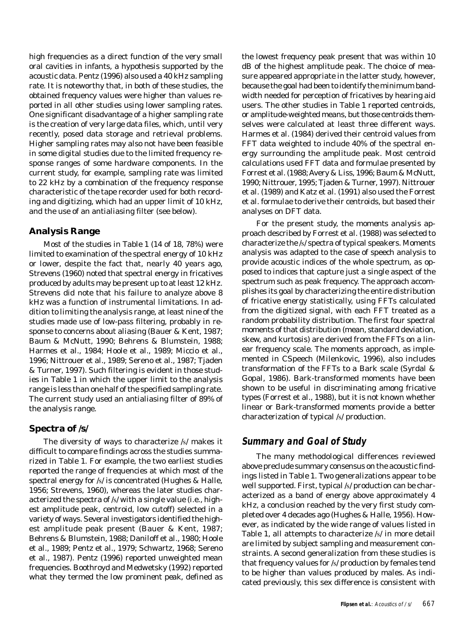high frequencies as a direct function of the very small oral cavities in infants, a hypothesis supported by the acoustic data. Pentz (1996) also used a 40 kHz sampling rate. It is noteworthy that, in both of these studies, the obtained frequency values were higher than values reported in all other studies using lower sampling rates. One significant disadvantage of a higher sampling rate is the creation of very large data files, which, until very recently, posed data storage and retrieval problems. Higher sampling rates may also not have been feasible in some digital studies due to the limited frequency response ranges of some hardware components. In the current study, for example, sampling rate was limited to 22 kHz by a combination of the frequency response characteristic of the tape recorder used for both recording and digitizing, which had an upper limit of 10 kHz, and the use of an antialiasing filter (see below).

#### **Analysis Range**

Most of the studies in Table 1 (14 of 18, 78%) were limited to examination of the spectral energy of 10 kHz or lower, despite the fact that, nearly 40 years ago, Strevens (1960) noted that spectral energy in fricatives produced by adults may be present up to at least 12 kHz. Strevens did note that his failure to analyze above 8 kHz was a function of instrumental limitations. In addition to limiting the analysis range, at least nine of the studies made use of low-pass filtering, probably in response to concerns about aliasing (Bauer & Kent, 1987; Baum & McNutt, 1990; Behrens & Blumstein, 1988; Harmes et al., 1984; Hoole et al., 1989; Miccio et al., 1996; Nittrouer et al., 1989; Sereno et al., 1987; Tjaden & Turner, 1997). Such filtering is evident in those studies in Table 1 in which the upper limit to the analysis range is less than one half of the specified sampling rate. The current study used an antialiasing filter of 89% of the analysis range.

#### **Spectra of /s/**

The diversity of ways to characterize /s/ makes it difficult to compare findings across the studies summarized in Table 1. For example, the two earliest studies reported the range of frequencies at which most of the spectral energy for /s/ is concentrated (Hughes & Halle, 1956; Strevens, 1960), whereas the later studies characterized the spectra of /s/ with a single value (i.e., highest amplitude peak, centroid, low cutoff) selected in a variety of ways. Several investigators identified the highest amplitude peak present (Bauer & Kent, 1987; Behrens & Blumstein, 1988; Daniloff et al., 1980; Hoole et al., 1989; Pentz et al., 1979; Schwartz, 1968; Sereno et al., 1987). Pentz (1996) reported unweighted mean frequencies. Boothroyd and Medwetsky (1992) reported what they termed the *low prominent peak*, defined as

the lowest frequency peak present that was within 10 dB of the highest amplitude peak. The choice of measure appeared appropriate in the latter study, however, because the goal had been to identify the minimum bandwidth needed for perception of fricatives by hearing aid users. The other studies in Table 1 reported centroids, or amplitude-weighted means, but those centroids themselves were calculated at least three different ways. Harmes et al. (1984) derived their centroid values from FFT data weighted to include 40% of the spectral energy surrounding the amplitude peak. Most centroid calculations used FFT data and formulae presented by Forrest et al. (1988; Avery & Liss, 1996; Baum & McNutt, 1990; Nittrouer, 1995; Tjaden & Turner, 1997). Nittrouer et al. (1989) and Katz et al. (1991) also used the Forrest et al. formulae to derive their centroids, but based their analyses on DFT data.

For the present study, the *moments analysis* approach described by Forrest et al. (1988) was selected to characterize the /s/ spectra of typical speakers. Moments analysis was adapted to the case of speech analysis to provide acoustic indices of the whole spectrum, as opposed to indices that capture just a single aspect of the spectrum such as peak frequency. The approach accomplishes its goal by characterizing the entire distribution of fricative energy statistically, using FFTs calculated from the digitized signal, with each FFT treated as a random probability distribution. The first four spectral moments of that distribution (mean, standard deviation, skew, and kurtosis) are derived from the FFTs on a linear frequency scale. The moments approach, as implemented in CSpeech (Milenkovic, 1996), also includes transformation of the FFTs to a Bark scale (Syrdal & Gopal, 1986). Bark-transformed moments have been shown to be useful in discriminating among fricative types (Forrest et al., 1988), but it is not known whether linear or Bark-transformed moments provide a better characterization of typical /s/ production.

# **Summary and Goal of Study**

The many methodological differences reviewed above preclude summary consensus on the acoustic findings listed in Table 1. Two generalizations appear to be well supported. First, typical /s/ production can be characterized as a band of energy above approximately 4 kHz, a conclusion reached by the very first study completed over 4 decades ago (Hughes & Halle, 1956). However, as indicated by the wide range of values listed in Table 1, all attempts to characterize /s/ in more detail are limited by subject sampling and measurement constraints. A second generalization from these studies is that frequency values for /s/ production by females tend to be higher than values produced by males. As indicated previously, this sex difference is consistent with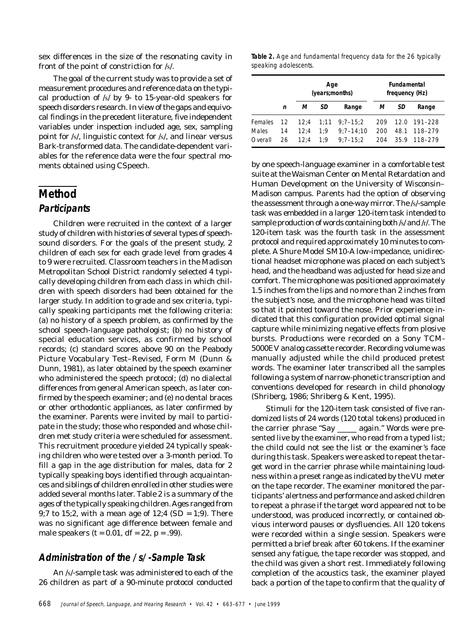sex differences in the size of the resonating cavity in front of the point of constriction for /s/.

The goal of the current study was to provide a set of measurement procedures and reference data on the typical production of /s/ by 9- to 15-year-old speakers for speech disorders research. In view of the gaps and equivocal findings in the precedent literature, five independent variables under inspection included age, sex, sampling point for /s/, linguistic context for /s/, and linear versus Bark-transformed data. The candidate-dependent variables for the reference data were the four spectral moments obtained using CSpeech.

# **Method Participants**

#### Children were recruited in the context of a larger study of children with histories of several types of speechsound disorders. For the goals of the present study, 2 children of each sex for each grade level from grades 4 to 9 were recruited. Classroom teachers in the Madison Metropolitan School District randomly selected 4 typically developing children from each class in which children with speech disorders had been obtained for the larger study. In addition to grade and sex criteria, typically speaking participants met the following criteria: (a) no history of a speech problem, as confirmed by the school speech-language pathologist; (b) no history of special education services, as confirmed by school records; (c) standard scores above 90 on the Peabody Picture Vocabulary Test–Revised, Form M (Dunn & Dunn, 1981), as later obtained by the speech examiner who administered the speech protocol; (d) no dialectal differences from general American speech, as later confirmed by the speech examiner; and (e) no dental braces or other orthodontic appliances, as later confirmed by the examiner. Parents were invited by mail to participate in the study; those who responded and whose children met study criteria were scheduled for assessment. This recruitment procedure yielded 24 typically speaking children who were tested over a 3-month period. To fill a gap in the age distribution for males, data for 2 typically speaking boys identified through acquaintances and siblings of children enrolled in other studies were added several months later. Table 2 is a summary of the ages of the typically speaking children. Ages ranged from 9;7 to 15;2, with a mean age of 12;4 (*SD* = 1;9). There was no significant age difference between female and male speakers (*t* = 0.01, *df* = 22, *p* = .99).

# **Administration of the /s/-Sample Task**

An /s/-sample task was administered to each of the 26 children as part of a 90-minute protocol conducted

**Table 2.** Age and fundamental frequency data for the 26 typically speaking adolescents.

|                         |          |              | Age<br>(years; months) |                               |                  | <b>Fundamental</b><br>frequency (Hz) |                    |  |
|-------------------------|----------|--------------|------------------------|-------------------------------|------------------|--------------------------------------|--------------------|--|
|                         | n        | м            | SD                     | Range                         | SD<br>м<br>Range |                                      |                    |  |
| <b>Females</b><br>Males | 12<br>14 | 12:4<br>12:4 | 1:11<br>1:9            | $9:7 - 15:2$<br>$9:7 - 14:10$ | 209<br>200       | 12.0<br>48.1                         | 191-228<br>118-279 |  |
| Overall                 | 26       | 12:4         | 1:9                    | $9:7 - 15:2$                  | 204              | 35.9                                 | 118-279            |  |

by one speech-language examiner in a comfortable test suite at the Waisman Center on Mental Retardation and Human Development on the University of Wisconsin– Madison campus. Parents had the option of observing the assessment through a one-way mirror. The /s/-sample task was embedded in a larger 120-item task intended to sample production of words containing both /s/ and /r/. The 120-item task was the fourth task in the assessment protocol and required approximately 10 minutes to complete. A Shure Model SM10-A low-impedance, unidirectional headset microphone was placed on each subject's head, and the headband was adjusted for head size and comfort. The microphone was positioned approximately 1.5 inches from the lips and no more than 2 inches from the subject's nose, and the microphone head was tilted so that it pointed toward the nose. Prior experience indicated that this configuration provided optimal signal capture while minimizing negative effects from plosive bursts. Productions were recorded on a Sony TCM-5000EV analog cassette recorder. Recording volume was manually adjusted while the child produced pretest words. The examiner later transcribed all the samples following a system of narrow-phonetic transcription and conventions developed for research in child phonology (Shriberg, 1986; Shriberg & Kent, 1995).

Stimuli for the 120-item task consisted of five randomized lists of 24 words (120 total tokens) produced in the carrier phrase "Say \_\_\_\_\_ again." Words were presented live by the examiner, who read from a typed list; the child could not see the list or the examiner's face during this task. Speakers were asked to repeat the target word in the carrier phrase while maintaining loudness within a preset range as indicated by the VU meter on the tape recorder. The examiner monitored the participants' alertness and performance and asked children to repeat a phrase if the target word appeared not to be understood, was produced incorrectly, or contained obvious interword pauses or dysfluencies. All 120 tokens were recorded within a single session. Speakers were permitted a brief break after 60 tokens. If the examiner sensed any fatigue, the tape recorder was stopped, and the child was given a short rest. Immediately following completion of the acoustics task, the examiner played back a portion of the tape to confirm that the quality of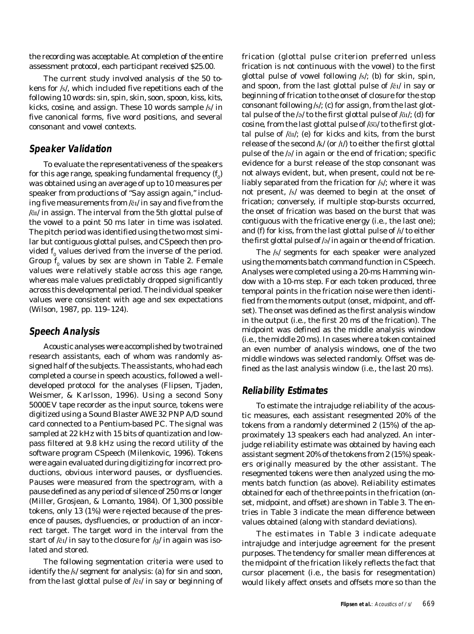the recording was acceptable. At completion of the entire assessment protocol, each participant received \$25.00.

The current study involved analysis of the 50 tokens for /s/, which included five repetitions each of the following 10 words: *sin*, *spin*, *skin*, *soon*, *spoon*, *kiss*, *kits*, *kicks*, *cosine*, and *assign*. These 10 words sample /s/ in five canonical forms, five word positions, and several consonant and vowel contexts.

## **Speaker Validation**

To evaluate the representativeness of the speakers for this age range, speaking fundamental frequency  $(f^{}_{\hspace{-0.5pt}0})$ was obtained using an average of up to 10 measures per speaker from productions of "Say assign again," including five measurements from / $\bar{e}$ I/ in *say* and five from the / $\overline{a}$ <sup>1</sup> in *assign*. The interval from the 5th glottal pulse of the vowel to a point 50 ms later in time was isolated. The pitch period was identified using the two most similar but contiguous glottal pulses, and CSpeech then provided  $f_{\rm 0}$  values derived from the inverse of the period. Group  $f_0$  values by sex are shown in Table 2. Female values were relatively stable across this age range, whereas male values predictably dropped significantly across this developmental period. The individual speaker values were consistent with age and sex expectations (Wilson, 1987, pp. 119–124).

# **Speech Analysis**

Acoustic analyses were accomplished by two trained research assistants, each of whom was randomly assigned half of the subjects. The assistants, who had each completed a course in speech acoustics, followed a welldeveloped protocol for the analyses (Flipsen, Tjaden, Weismer, & Karlsson, 1996). Using a second Sony 5000EV tape recorder as the input source, tokens were digitized using a Sound Blaster AWE32 PNP A/D sound card connected to a Pentium-based PC. The signal was sampled at 22 kHz with 15 bits of quantization and lowpass filtered at 9.8 kHz using the record utility of the software program CSpeech (Milenkovic, 1996). Tokens were again evaluated during digitizing for incorrect productions, obvious interword pauses, or dysfluencies. Pauses were measured from the spectrogram, with a pause defined as any period of silence of 250 ms or longer (Miller, Grosjean, & Lomanto, 1984). Of 1,300 possible tokens, only 13 (1%) were rejected because of the presence of pauses, dysfluencies, or production of an incorrect target. The target word in the interval from the start of / $\bar{e}$ I/ in *say* to the closure for /g/ in *again* was isolated and stored.

The following segmentation criteria were used to identify the /s/ segment for analysis: (a) for *sin* and *soon*, from the last glottal pulse of / $\bar{e}$ I/ in *say* or beginning of frication (glottal pulse criterion preferred unless frication is not continuous with the vowel) to the first glottal pulse of vowel following /s/; (b) for *skin*, *spin*, and *spoon*, from the last glottal pulse of  $\overline{\text{e}}$ <sub>I</sub> in *say* or beginning of frication to the onset of closure for the stop consonant following /s/; (c) for *assign*, from the last glottal pulse of the  $\sqrt{e}/$  to the first glottal pulse of  $\sqrt{a}i$ ; (d) for *cosine,* from the last glottal pulse of  $\sqrt{\infty}$  to the first glottal pulse of / $\bar{a}$ I/; (e) for *kicks* and *kits*, from the burst release of the second  $/k/$  (or  $/t/$ ) to either the first glottal pulse of the /E/ in *again* or the end of frication; specific evidence for a burst release of the stop consonant was not always evident, but, when present, could not be reliably separated from the frication for /s/; where it was not present, /s/ was deemed to begin at the onset of frication; conversely, if multiple stop-bursts occurred, the onset of frication was based on the burst that was contiguous with the fricative energy (i.e., the last one); and (f) for *kiss*, from the last glottal pulse of /I/ to either the first glottal pulse of /ə/ in *again* or the end of frication.

The /s/ segments for each speaker were analyzed using the *moments* batch command function in CSpeech. Analyses were completed using a 20-ms Hamming window with a 10-ms step. For each token produced, three temporal points in the frication noise were then identified from the moments output (onset, midpoint, and offset). The onset was defined as the first analysis window in the output (i.e., the first 20 ms of the frication). The midpoint was defined as the middle analysis window (i.e., the middle 20 ms). In cases where a token contained an even number of analysis windows, one of the two middle windows was selected randomly. Offset was defined as the last analysis window (i.e., the last 20 ms).

## **Reliability Estimates**

To estimate the intrajudge reliability of the acoustic measures, each assistant resegmented 20% of the tokens from a randomly determined 2 (15%) of the approximately 13 speakers each had analyzed. An interjudge reliability estimate was obtained by having each assistant segment 20% of the tokens from 2 (15%) speakers originally measured by the other assistant. The resegmented tokens were then analyzed using the moments batch function (as above). Reliability estimates obtained for each of the three points in the frication (onset, midpoint, and offset) are shown in Table 3. The entries in Table 3 indicate the mean difference between values obtained (along with standard deviations).

The estimates in Table 3 indicate adequate intrajudge and interjudge agreement for the present purposes. The tendency for smaller mean differences at the midpoint of the frication likely reflects the fact that cursor placement (i.e., the basis for resegmentation) would likely affect onsets and offsets more so than the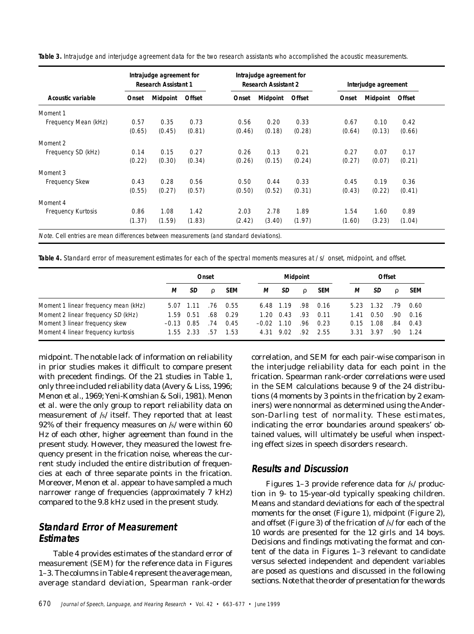|        | Intrajudge agreement for |        |                             | Intrajudge agreement for<br><b>Research Assistant 2</b> |        |        | Interjudge agreement |        |  |
|--------|--------------------------|--------|-----------------------------|---------------------------------------------------------|--------|--------|----------------------|--------|--|
| Onset  | Midpoint                 | Offset | Onset                       | <b>Midpoint</b>                                         | Offset | Onset  | <b>Midpoint</b>      | Offset |  |
|        |                          |        |                             |                                                         |        |        |                      |        |  |
| 0.57   | 0.35                     | 0.73   | 0.56                        | 0.20                                                    | 0.33   | 0.67   | 0.10                 | 0.42   |  |
| (0.65) | (0.45)                   | (0.81) | (0.46)                      | (0.18)                                                  | (0.28) | (0.64) | (0.13)               | (0.66) |  |
|        |                          |        |                             |                                                         |        |        |                      |        |  |
| 0.14   | 0.15                     | 0.27   | 0.26                        | 0.13                                                    | 0.21   | 0.27   | 0.07                 | 0.17   |  |
| (0.22) | (0.30)                   | (0.34) | (0.26)                      | (0.15)                                                  | (0.24) | (0.27) | (0.07)               | (0.21) |  |
|        |                          |        |                             |                                                         |        |        |                      |        |  |
| 0.43   | 0.28                     | 0.56   | 0.50                        | 0.44                                                    | 0.33   | 0.45   | 0.19                 | 0.36   |  |
| (0.55) | (0.27)                   | (0.57) | (0.50)                      | (0.52)                                                  | (0.31) | (0.43) | (0.22)               | (0.41) |  |
|        |                          |        |                             |                                                         |        |        |                      |        |  |
| 0.86   | 1.08                     | 1.42   | 2.03                        | 2.78                                                    | 1.89   | 1.54   | 1.60                 | 0.89   |  |
| (1.37) | (1.59)                   | (1.83) | (2.42)                      | (3.40)                                                  | (1.97) | (1.60) | (3.23)               | (1.04) |  |
|        |                          |        | <b>Research Assistant 1</b> |                                                         |        |        |                      |        |  |

**Table 3.** Intrajudge and interjudge agreement data for the two research assistants who accomplished the acoustic measurements.

**Table 4.** Standard error of measurement estimates for each of the spectral moments measures at /s/ onset, midpoint, and offset.

|                                      |              | Onset         |     |            |         | <b>Midpoint</b>   |          |            |      | Offset |     |            |  |
|--------------------------------------|--------------|---------------|-----|------------|---------|-------------------|----------|------------|------|--------|-----|------------|--|
|                                      | М            | SD            | ρ   | <b>SEM</b> | М       | SD                | $\Omega$ | <b>SEM</b> | м    | SD     | ρ   | <b>SEM</b> |  |
| Moment 1 linear frequency mean (kHz) |              | 5.07 1.11     | .76 | 0.55       |         | 6.48 1.19         | .98      | 0.16       | 5.23 | 1.32   | .79 | 0.60       |  |
| Moment 2 linear frequency SD (kHz)   | 1.59         | 0.51          | .68 | 0.29       |         | $1.20 \quad 0.43$ | .93      | 0.11       | 1.41 | 0.50   | .90 | 0.16       |  |
| Moment 3 linear frequency skew       | $-0.13$ 0.85 |               | .74 | 0.45       | $-0.02$ | 1.10              | .96      | 0.23       | 0.15 | 1.08   | .84 | 0.43       |  |
| Moment 4 linear frequency kurtosis   |              | $1.55$ $2.33$ | .57 | 1.53       | 4.31    | 9.02              | -92      | 2.55       | 3.31 | 3.97   | -90 | 1.24       |  |

midpoint. The notable lack of information on reliability in prior studies makes it difficult to compare present with precedent findings. Of the 21 studies in Table 1, only three included reliability data (Avery & Liss, 1996; Menon et al., 1969; Yeni-Komshian & Soli, 1981). Menon et al. were the only group to report reliability data on measurement of /s/ itself. They reported that at least 92% of their frequency measures on /s/ were within 60 Hz of each other, higher agreement than found in the present study. However, they measured the lowest frequency present in the frication noise, whereas the current study included the entire distribution of frequencies at each of three separate points in the frication. Moreover, Menon et al. appear to have sampled a much narrower range of frequencies (approximately 7 kHz) compared to the 9.8 kHz used in the present study.

# **Standard Error of Measurement Estimates**

Table 4 provides estimates of the standard error of measurement (SEM) for the reference data in Figures 1–3. The columns in Table 4 represent the average mean, average standard deviation, Spearman rank-order

correlation, and SEM for each pair-wise comparison in the interjudge reliability data for each point in the frication. Spearman rank-order correlations were used in the SEM calculations because 9 of the 24 distributions (4 moments by 3 points in the frication by 2 examiners) were nonnormal as determined using the Anderson-Darling test of normality. These estimates, indicating the error boundaries around speakers' obtained values, will ultimately be useful when inspecting effect sizes in speech disorders research.

# **Results and Discussion**

Figures 1–3 provide reference data for /s/ production in 9- to 15-year-old typically speaking children. Means and standard deviations for each of the spectral moments for the onset (Figure 1), midpoint (Figure 2), and offset (Figure 3) of the frication of /s/ for each of the 10 words are presented for the 12 girls and 14 boys. Decisions and findings motivating the format and content of the data in Figures 1–3 relevant to candidate versus selected independent and dependent variables are posed as questions and discussed in the following sections. Note that the order of presentation for the words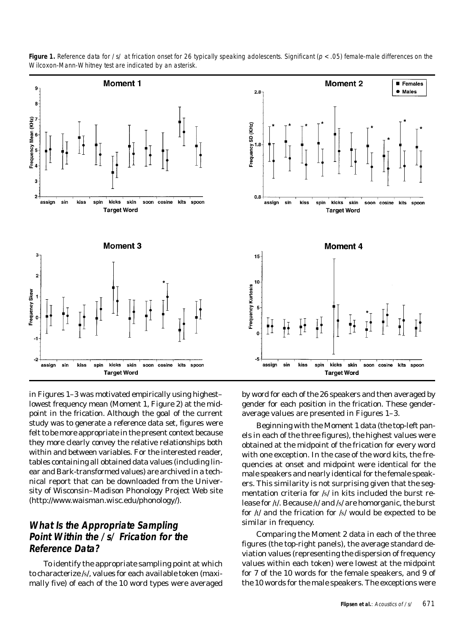

**Figure 1.** Reference data for /s/ at frication onset for 26 typically speaking adolescents. Significant ( $p < .05$ ) female-male differences on the Wilcoxon-Mann-Whitney test are indicated by an asterisk.

in Figures 1–3 was motivated empirically using highest– lowest frequency mean (Moment 1, Figure 2) at the midpoint in the frication. Although the goal of the current study was to generate a reference data set, figures were felt to be more appropriate in the present context because they more clearly convey the relative relationships both within and between variables. For the interested reader, tables containing all obtained data values (including linear and Bark-transformed values) are archived in a technical report that can be downloaded from the University of Wisconsin–Madison Phonology Project Web site (http://www.waisman.wisc.edu/phonology/).

# **What Is the Appropriate Sampling Point Within the /s/ Frication for the Reference Data?**

To identify the appropriate sampling point at which to characterize /s/, values for each available token (maximally five) of each of the 10 word types were averaged by word for each of the 26 speakers and then averaged by gender for each position in the frication. These genderaverage values are presented in Figures 1–3.

Beginning with the Moment 1 data (the top-left panels in each of the three figures), the highest values were obtained at the midpoint of the frication for every word with one exception. In the case of the word *kits*, the frequencies at onset and midpoint were identical for the male speakers and nearly identical for the female speakers. This similarity is not surprising given that the segmentation criteria for /s/ in *kits* included the burst release for /t/. Because /t/ and /s/ are homorganic, the burst for /t/ and the frication for /s/ would be expected to be similar in frequency.

Comparing the Moment 2 data in each of the three figures (the top-right panels), the average standard deviation values (representing the dispersion of frequency values within each token) were lowest at the midpoint for 7 of the 10 words for the female speakers, and 9 of the 10 words for the male speakers. The exceptions were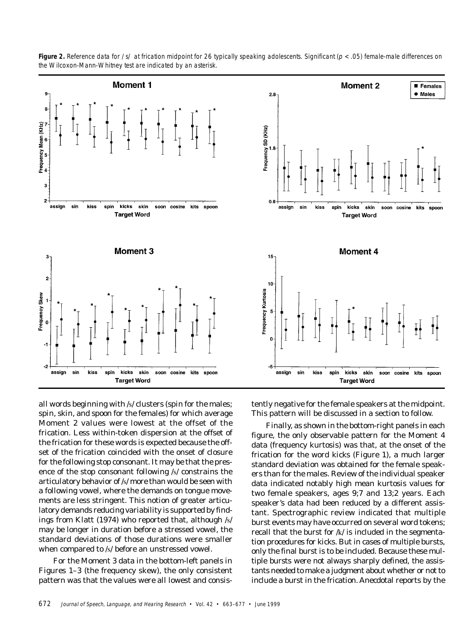

**Figure 2.** Reference data for /s/ at frication midpoint for 26 typically speaking adolescents. Significant ( $p < .05$ ) female-male differences on the Wilcoxon-Mann-Whitney test are indicated by an asterisk.

all words beginning with /s/ clusters (*spin* for the males; *spin*, *skin*, and *spoon* for the females) for which average Moment 2 values were lowest at the offset of the frication. Less within-token dispersion at the offset of the frication for these words is expected because the offset of the frication coincided with the onset of closure for the following stop consonant. It may be that the presence of the stop consonant following /s/ constrains the articulatory behavior of /s/ more than would be seen with a following vowel, where the demands on tongue movements are less stringent. This notion of greater articulatory demands reducing variability is supported by findings from Klatt (1974) who reported that, although /s/ may be longer in duration before a stressed vowel, the standard deviations of those durations were smaller when compared to /s/ before an unstressed vowel.

For the Moment 3 data in the bottom-left panels in Figures 1–3 (the frequency skew), the only consistent pattern was that the values were all lowest and consistently negative for the female speakers at the midpoint. This pattern will be discussed in a section to follow.

Finally, as shown in the bottom-right panels in each figure, the only observable pattern for the Moment 4 data (frequency kurtosis) was that, at the onset of the frication for the word *kicks* (Figure 1), a much larger standard deviation was obtained for the female speakers than for the males. Review of the individual speaker data indicated notably high mean kurtosis values for two female speakers, ages 9;7 and 13;2 years. Each speaker's data had been reduced by a different assistant. Spectrographic review indicated that multiple burst events may have occurred on several word tokens; recall that the burst for /k/ is included in the segmentation procedures for *kicks*. But in cases of multiple bursts, only the final burst is to be included. Because these multiple bursts were not always sharply defined, the assistants needed to make a judgment about whether or not to include a burst in the frication. Anecdotal reports by the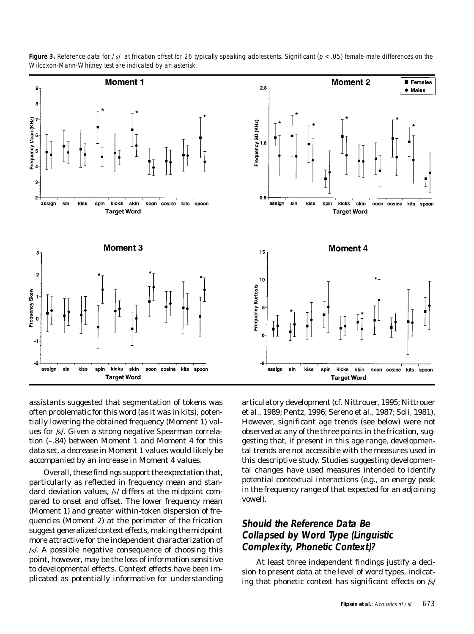

**Figure 3.** Reference data for /s/ at frication offset for 26 typically speaking adolescents. Significant ( $p < .05$ ) female-male differences on the Wilcoxon-Mann-Whitney test are indicated by an asterisk.

assistants suggested that segmentation of tokens was often problematic for this word (as it was in *kits*), potentially lowering the obtained frequency (Moment 1) values for /s/. Given a strong negative Spearman correlation (–.84) between Moment 1 and Moment 4 for this data set, a decrease in Moment 1 values would likely be accompanied by an increase in Moment 4 values.

Overall, these findings support the expectation that, particularly as reflected in frequency mean and standard deviation values, /s/ differs at the midpoint compared to onset and offset. The lower frequency mean (Moment 1) and greater within-token dispersion of frequencies (Moment 2) at the perimeter of the frication suggest generalized context effects, making the midpoint more attractive for the independent characterization of /s/. A possible negative consequence of choosing this point, however, may be the loss of information sensitive to developmental effects. Context effects have been implicated as potentially informative for understanding articulatory development (cf. Nittrouer, 1995; Nittrouer et al., 1989; Pentz, 1996; Sereno et al., 1987; Soli, 1981). However, significant age trends (see below) were not observed at any of the three points in the frication, suggesting that, if present in this age range, developmental trends are not accessible with the measures used in this descriptive study. Studies suggesting developmental changes have used measures intended to identify potential contextual interactions (e.g., an energy peak in the frequency range of that expected for an adjoining vowel).

# **Should the Reference Data Be Collapsed by Word Type (Linguistic Complexity, Phonetic Context)?**

At least three independent findings justify a decision to present data at the level of word types, indicating that phonetic context has significant effects on /s/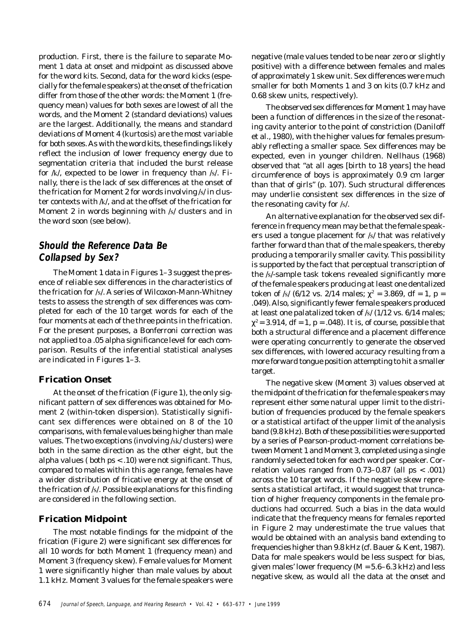production. First, there is the failure to separate Moment 1 data at onset and midpoint as discussed above for the word *kits*. Second, data for the word *kicks* (especially for the female speakers) at the onset of the frication differ from those of the other words: the Moment 1 (frequency mean) values for both sexes are lowest of all the words, and the Moment 2 (standard deviations) values are the largest. Additionally, the means and standard deviations of Moment 4 (kurtosis) are the most variable for both sexes. As with the word *kits*, these findings likely reflect the inclusion of lower frequency energy due to segmentation criteria that included the burst release for /k/, expected to be lower in frequency than /s/. Finally, there is the lack of sex differences at the onset of the frication for Moment 2 for words involving /s/ in cluster contexts with /k/, and at the offset of the frication for Moment 2 in words beginning with /s/ clusters and in the word *soon* (see below).

# **Should the Reference Data Be Collapsed by Sex?**

The Moment 1 data in Figures 1–3 suggest the presence of reliable sex differences in the characteristics of the frication for /s/. A series of Wilcoxon-Mann-Whitney tests to assess the strength of sex differences was completed for each of the 10 target words for each of the four moments at each of the three points in the frication. For the present purposes, a Bonferroni correction was not applied to a .05 alpha significance level for each comparison. Results of the inferential statistical analyses are indicated in Figures 1–3.

#### **Frication Onset**

At the onset of the frication (Figure 1), the only significant pattern of sex differences was obtained for Moment 2 (within-token dispersion). Statistically significant sex differences were obtained on 8 of the 10 comparisons, with female values being higher than male values. The two exceptions (involving /sk/ clusters) were both in the same direction as the other eight, but the alpha values ( both *p*s < .10) were not significant. Thus, compared to males within this age range, females have a wider distribution of fricative energy at the onset of the frication of /s/. Possible explanations for this finding are considered in the following section.

## **Frication Midpoint**

The most notable findings for the midpoint of the frication (Figure 2) were significant sex differences for all 10 words for both Moment 1 (frequency mean) and Moment 3 (frequency skew). Female values for Moment 1 were significantly higher than male values by about 1.1 kHz. Moment 3 values for the female speakers were negative (male values tended to be near zero or slightly positive) with a difference between females and males of approximately 1 skew unit. Sex differences were much smaller for both Moments 1 and 3 on *kits* (0.7 kHz and 0.68 skew units, respectively).

The observed sex differences for Moment 1 may have been a function of differences in the size of the resonating cavity anterior to the point of constriction (Daniloff et al., 1980), with the higher values for females presumably reflecting a smaller space. Sex differences may be expected, even in younger children. Nellhaus (1968) observed that "at all ages [birth to 18 years] the head circumference of boys is approximately 0.9 cm larger than that of girls" (p. 107). Such structural differences may underlie consistent sex differences in the size of the resonating cavity for /s/.

An alternative explanation for the observed sex difference in frequency mean may be that the female speakers used a tongue placement for /s/ that was relatively farther forward than that of the male speakers, thereby producing a temporarily smaller cavity. This possibility is supported by the fact that perceptual transcription of the /s/-sample task tokens revealed significantly more of the female speakers producing at least one dentalized token of /s/ (6/12 vs. 2/14 males;  $\chi^2 = 3.869$ , *df* = 1, *p* = .049). Also, significantly fewer female speakers produced at least one palatalized token of /s/ (1/12 vs. 6/14 males;  $\chi^2$  = 3.914, *df* = 1, *p* = .048). It is, of course, possible that both a structural difference and a placement difference were operating concurrently to generate the observed sex differences, with lowered accuracy resulting from a more forward tongue position attempting to hit a smaller target.

The negative skew (Moment 3) values observed at the midpoint of the frication for the female speakers may represent either some natural upper limit to the distribution of frequencies produced by the female speakers or a statistical artifact of the upper limit of the analysis band (9.8 kHz). Both of these possibilities were supported by a series of Pearson-product-moment correlations between Moment 1 and Moment 3, completed using a single randomly selected token for each word per speaker. Correlation values ranged from 0.73–0.87 (all *p*s < .001) across the 10 target words. If the negative skew represents a statistical artifact, it would suggest that truncation of higher frequency components in the female productions had occurred. Such a bias in the data would indicate that the frequency means for females reported in Figure 2 may underestimate the true values that would be obtained with an analysis band extending to frequencies higher than 9.8 kHz (cf. Bauer & Kent, 1987). Data for male speakers would be less suspect for bias, given males' lower frequency (*M* = 5.6–6.3 kHz) and less negative skew, as would all the data at the onset and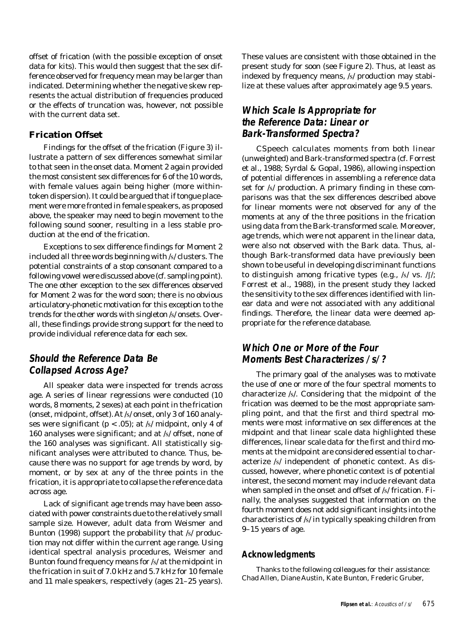offset of frication (with the possible exception of onset data for *kits*). This would then suggest that the sex difference observed for frequency mean may be larger than indicated. Determining whether the negative skew represents the actual distribution of frequencies produced or the effects of truncation was, however, not possible with the current data set.

#### **Frication Offset**

Findings for the offset of the frication (Figure 3) illustrate a pattern of sex differences somewhat similar to that seen in the onset data. Moment 2 again provided the most consistent sex differences for 6 of the 10 words, with female values again being higher (more withintoken dispersion). It could be argued that if tongue placement were more fronted in female speakers, as proposed above, the speaker may need to begin movement to the following sound sooner, resulting in a less stable production at the end of the frication.

Exceptions to sex difference findings for Moment 2 included all three words beginning with /s/ clusters. The potential constraints of a stop consonant compared to a following vowel were discussed above (cf. sampling point). The one other exception to the sex differences observed for Moment 2 was for the word *soon*; there is no obvious articulatory-phonetic motivation for this exception to the trends for the other words with singleton /s/ onsets. Overall, these findings provide strong support for the need to provide individual reference data for each sex.

## **Should the Reference Data Be Collapsed Across Age?**

All speaker data were inspected for trends across age. A series of linear regressions were conducted (10 words, 8 moments, 2 sexes) at each point in the frication (onset, midpoint, offset). At /s/ onset, only 3 of 160 analyses were significant ( $p < .05$ ); at /s/ midpoint, only 4 of 160 analyses were significant; and at /s/ offset, none of the 160 analyses was significant. All statistically significant analyses were attributed to chance. Thus, because there was no support for age trends by word, by moment, or by sex at any of the three points in the frication, it is appropriate to collapse the reference data across age.

Lack of significant age trends may have been associated with power constraints due to the relatively small sample size. However, adult data from Weismer and Bunton (1998) support the probability that /s/ production may not differ within the current age range. Using identical spectral analysis procedures, Weismer and Bunton found frequency means for /s/ at the midpoint in the frication in *suit* of 7.0 kHz and 5.7 kHz for 10 female and 11 male speakers, respectively (ages 21–25 years). These values are consistent with those obtained in the present study for *soon* (see Figure 2). Thus, at least as indexed by frequency means, /s/ production may stabilize at these values after approximately age 9.5 years.

## **Which Scale Is Appropriate for the Reference Data: Linear or Bark-Transformed Spectra?**

CSpeech calculates moments from both linear (unweighted) and Bark-transformed spectra (cf. Forrest et al., 1988; Syrdal & Gopal, 1986), allowing inspection of potential differences in assembling a reference data set for /s/ production. A primary finding in these comparisons was that the sex differences described above for linear moments were not observed for any of the moments at any of the three positions in the frication using data from the Bark-transformed scale. Moreover, age trends, which were not apparent in the linear data, were also not observed with the Bark data. Thus, although Bark-transformed data have previously been shown to be useful in developing discriminant functions to distinguish among fricative types (e.g.,  $/s/$  vs.  $/$ [/; Forrest et al., 1988), in the present study they lacked the sensitivity to the sex differences identified with linear data and were not associated with any additional findings. Therefore, the linear data were deemed appropriate for the reference database.

## **Which One or More of the Four Moments Best Characterizes /s/?**

The primary goal of the analyses was to motivate the use of one or more of the four spectral moments to characterize /s/. Considering that the midpoint of the frication was deemed to be the most appropriate sampling point, and that the first and third spectral moments were most informative on sex differences at the midpoint and that linear scale data highlighted these differences, linear scale data for the first and third moments at the midpoint are considered essential to characterize /s/ independent of phonetic context. As discussed, however, where phonetic context is of potential interest, the second moment may include relevant data when sampled in the onset and offset of /s/ frication. Finally, the analyses suggested that information on the fourth moment does not add significant insights into the characteristics of /s/ in typically speaking children from 9–15 years of age.

#### **Acknowledgments**

Thanks to the following colleagues for their assistance: Chad Allen, Diane Austin, Kate Bunton, Frederic Gruber,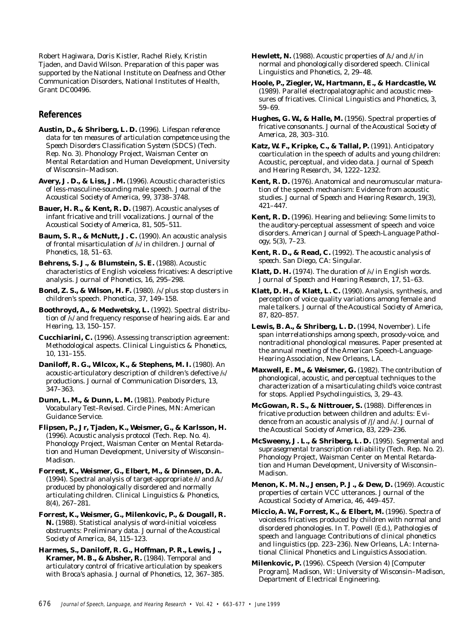Robert Hagiwara, Doris Kistler, Rachel Riely, Kristin Tjaden, and David Wilson. Preparation of this paper was supported by the National Institute on Deafness and Other Communication Disorders, National Institutes of Health, Grant DC00496.

#### **References**

**Austin, D., & Shriberg, L. D.** (1996). *Lifespan reference data for ten measures of articulation competence using the Speech Disorders Classification System (SDCS)* (Tech. Rep. No. 3). Phonology Project, Waisman Center on Mental Retardation and Human Development, University of Wisconsin–Madison.

**Avery, J. D., & Liss, J. M.** (1996). Acoustic characteristics of less-masculine-sounding male speech. *Journal of the Acoustical Society of America, 99*, 3738–3748.

**Bauer, H. R., & Kent, R. D.** (1987). Acoustic analyses of infant fricative and trill vocalizations. *Journal of the Acoustical Society of America, 81*, 505–511.

**Baum, S. R., & McNutt, J. C.** (1990). An acoustic analysis of frontal misarticulation of /s/ in children. *Journal of Phonetics, 18*, 51–63.

**Behrens, S. J., & Blumstein, S. E. (1988).** Acoustic characteristics of English voiceless fricatives: A descriptive analysis. *Journal of Phonetics, 16*, 295–298.

**Bond, Z. S., & Wilson, H. F.** (1980). /s/ plus stop clusters in children's speech. *Phonetica, 37*, 149–158.

**Boothroyd, A., & Medwetsky, L.** (1992). Spectral distribution of /s/ and frequency response of hearing aids. *Ear and Hearing, 13*, 150–157.

**Cucchiarini, C.** (1996). Assessing transcription agreement: Methodological aspects. *Clinical Linguistics & Phonetics, 10*, 131–155.

**Daniloff, R. G., Wilcox, K., & Stephens, M. I.** (1980). An acoustic-articulatory description of children's defective /s/ productions. *Journal of Communication Disorders, 13*, 347–363.

**Dunn, L. M., & Dunn, L. M.** (1981). *Peabody Picture Vocabulary Test–Revised.* Circle Pines, MN: American Guidance Service.

**Flipsen, P., Jr, Tjaden, K., Weismer, G., & Karlsson, H.** (1996). *Acoustic analysis protocol* (Tech. Rep. No. 4). Phonology Project, Waisman Center on Mental Retardation and Human Development, University of Wisconsin– Madison.

**Forrest, K., Weismer, G., Elbert, M., & Dinnsen, D. A.** (1994). Spectral analysis of target-appropriate /t/ and /k/ produced by phonologically disordered and normally articulating children. *Clinical Linguistics & Phonetics, 8*(4), 267–281.

**Forrest, K., Weismer, G., Milenkovic, P., & Dougall, R. N.** (1988). Statistical analysis of word-initial voiceless obstruents: Preliminary data. *Journal of the Acoustical Society of America, 84*, 115–123.

**Harmes, S., Daniloff, R. G., Hoffman, P. R., Lewis, J., Kramer, M. B., & Absher, R.** (1984). Temporal and articulatory control of fricative articulation by speakers with Broca's aphasia. *Journal of Phonetics, 12*, 367–385. **Hewlett, N.** (1988). Acoustic properties of /k/ and /t/ in normal and phonologically disordered speech. *Clinical Linguistics and Phonetics, 2*, 29–48.

**Hoole, P., Ziegler, W., Hartmann, E., & Hardcastle, W.** (1989). Parallel electropalatographic and acoustic measures of fricatives. *Clinical Linguistics and Phonetics, 3*, 59–69.

**Hughes, G. W., & Halle, M.** (1956). Spectral properties of fricative consonants. *Journal of the Acoustical Society of America, 28*, 303–310.

**Katz, W. F., Kripke, C., & Tallal, P.** (1991). Anticipatory coarticulation in the speech of adults and young children: Acoustic, perceptual, and video data. *Journal of Speech and Hearing Research, 34*, 1222–1232.

**Kent, R. D.** (1976). Anatomical and neuromuscular maturation of the speech mechanism: Evidence from acoustic studies. *Journal of Speech and Hearing Research, 19*(3), 421–447.

**Kent, R. D.** (1996). Hearing and believing: Some limits to the auditory-perceptual assessment of speech and voice disorders. *American Journal of Speech-Language Pathology, 5*(3), 7–23.

**Kent, R. D., & Read, C.** (1992). *The acoustic analysis of speech*. San Diego, CA: Singular.

**Klatt, D. H.** (1974). The duration of /s/ in English words. *Journal of Speech and Hearing Research, 17*, 51–63.

**Klatt, D. H., & Klatt, L. C.** (1990). Analysis, synthesis, and perception of voice quality variations among female and male talkers. *Journal of the Acoustical Society of America, 87*, 820–857.

**Lewis, B. A., & Shriberg, L. D.** (1994, November). *Life span interrelationships among speech, prosody-voice, and nontraditional phonological measures*. Paper presented at the annual meeting of the American Speech-Language-Hearing Association, New Orleans, LA.

**Maxwell, E. M., & Weismer, G.** (1982). The contribution of phonological, acoustic, and perceptual techniques to the characterization of a misarticulating child's voice contrast for stops. *Applied Psycholinguistics, 3*, 29–43.

**McGowan, R. S., & Nittrouer, S.** (1988). Differences in fricative production between children and adults: Evidence from an acoustic analysis of /f/ and /s/. *Journal of the Acoustical Society of America, 83*, 229–236.

**McSweeny, J. L., & Shriberg, L. D.** (1995). *Segmental and suprasegmental transcription reliability* (Tech. Rep. No. 2). Phonology Project, Waisman Center on Mental Retardation and Human Development, University of Wisconsin– Madison.

**Menon, K. M. N., Jensen, P. J., & Dew, D.** (1969). Acoustic properties of certain VCC utterances. *Journal of the Acoustical Society of America, 46*, 449–457.

**Miccio, A. W., Forrest, K., & Elbert, M.** (1996). Spectra of voiceless fricatives produced by children with normal and disordered phonologies. In T. Powell (Ed.), *Pathologies of speech and language: Contributions of clinical phonetics and linguistics* (pp. 223–236). New Orleans, LA: International Clinical Phonetics and Linguistics Association.

**Milenkovic, P.** (1996). CSpeech (Version 4) [Computer Program]. Madison, WI: University of Wisconsin–Madison, Department of Electrical Engineering.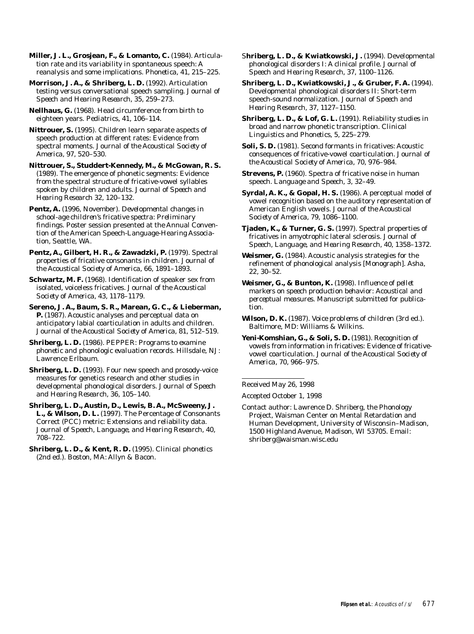**Miller, J. L., Grosjean, F., & Lomanto, C.** (1984). Articulation rate and its variability in spontaneous speech: A reanalysis and some implications. *Phonetica, 41*, 215–225.

**Morrison, J. A., & Shriberg, L. D.** (1992). Articulation testing versus conversational speech sampling. *Journal of Speech and Hearing Research, 35*, 259–273.

**Nellhaus, G.** (1968). Head circumference from birth to eighteen years. *Pediatrics, 41*, 106–114.

**Nittrouer, S.** (1995). Children learn separate aspects of speech production at different rates: Evidence from spectral moments. *Journal of the Acoustical Society of America, 97*, 520–530.

**Nittrouer, S., Studdert-Kennedy, M., & McGowan, R. S.** (1989). The emergence of phonetic segments: Evidence from the spectral structure of fricative-vowel syllables spoken by children and adults. *Journal of Speech and Hearing Research 32*, 120–132.

**Pentz, A.** (1996, November). *Developmental changes in school-age children's fricative spectra: Preliminary findings*. Poster session presented at the Annual Convention of the American Speech-Language-Hearing Association, Seattle, WA.

Pentz, A., Gilbert, H. R., & Zawadzki, P. (1979). Spectral properties of fricative consonants in children. *Journal of the Acoustical Society of America, 66*, 1891–1893.

**Schwartz, M. F.** (1968). Identification of speaker sex from isolated, voiceless fricatives. *Journal of the Acoustical Society of America, 43*, 1178–1179.

**Sereno, J. A., Baum, S. R., Marean, G. C., & Lieberman, P.** (1987). Acoustic analyses and perceptual data on anticipatory labial coarticulation in adults and children. *Journal of the Acoustical Society of America, 81*, 512–519.

**Shriberg, L. D.** (1986). *PEPPER: Programs to examine phonetic and phonologic evaluation records*. Hillsdale, NJ: Lawrence Erlbaum.

Shriberg, L. D. (1993). Four new speech and prosody-voice measures for genetics research and other studies in developmental phonological disorders. *Journal of Speech and Hearing Research, 36*, 105–140.

**Shriberg, L. D., Austin, D., Lewis, B. A., McSweeny, J. L., & Wilson, D. L.** (1997). The Percentage of Consonants Correct (PCC) metric: Extensions and reliability data. *Journal of Speech, Language, and Hearing Research, 40*, 708–722.

**Shriberg, L. D., & Kent, R. D.** (1995). *Clinical phonetics* (2nd ed.). Boston, MA: Allyn & Bacon.

S**hriberg, L. D., & Kwiatkowski, J.** (1994). Developmental phonological disorders I: A clinical profile. *Journal of Speech and Hearing Research, 37*, 1100–1126.

**Shriberg, L. D., Kwiatkowski, J., & Gruber, F. A.** (1994). Developmental phonological disorders II: Short-term speech-sound normalization. *Journal of Speech and Hearing Research, 37*, 1127–1150.

**Shriberg, L. D., & Lof, G. L.** (1991). Reliability studies in broad and narrow phonetic transcription. *Clinical Linguistics and Phonetics, 5*, 225–279.

**Soli, S. D.** (1981). Second formants in fricatives: Acoustic consequences of fricative-vowel coarticulation. *Journal of the Acoustical Society of America, 70*, 976–984.

**Strevens, P.** (1960). Spectra of fricative noise in human speech. *Language and Speech, 3*, 32–49.

**Syrdal, A. K., & Gopal, H. S.** (1986). A perceptual model of vowel recognition based on the auditory representation of American English vowels. *Journal of the Acoustical Society of America, 79*, 1086–1100.

**Tjaden, K., & Turner, G. S.** (1997). Spectral properties of fricatives in amyotrophic lateral sclerosis. *Journal of Speech, Language, and Hearing Research, 40*, 1358–1372.

**Weismer, G.** (1984). Acoustic analysis strategies for the refinement of phonological analysis [Monograph]. *Asha, 22*, 30–52.

**Weismer, G., & Bunton, K.** (1998). *Influence of pellet markers on speech production behavior: Acoustical and perceptual measures*. Manuscript submitted for publication.

**Wilson, D. K.** (1987). *Voice problems of children* (3rd ed.). Baltimore, MD: Williams & Wilkins.

**Yeni-Komshian, G., & Soli, S. D.** (1981). Recognition of vowels from information in fricatives: Evidence of fricativevowel coarticulation. *Journal of the Acoustical Society of America, 70*, 966–975.

Received May 26, 1998

Accepted October 1, 1998

Contact author: Lawrence D. Shriberg, the Phonology Project, Waisman Center on Mental Retardation and Human Development, University of Wisconsin–Madison, 1500 Highland Avenue, Madison, WI 53705. Email: shriberg@waisman.wisc.edu